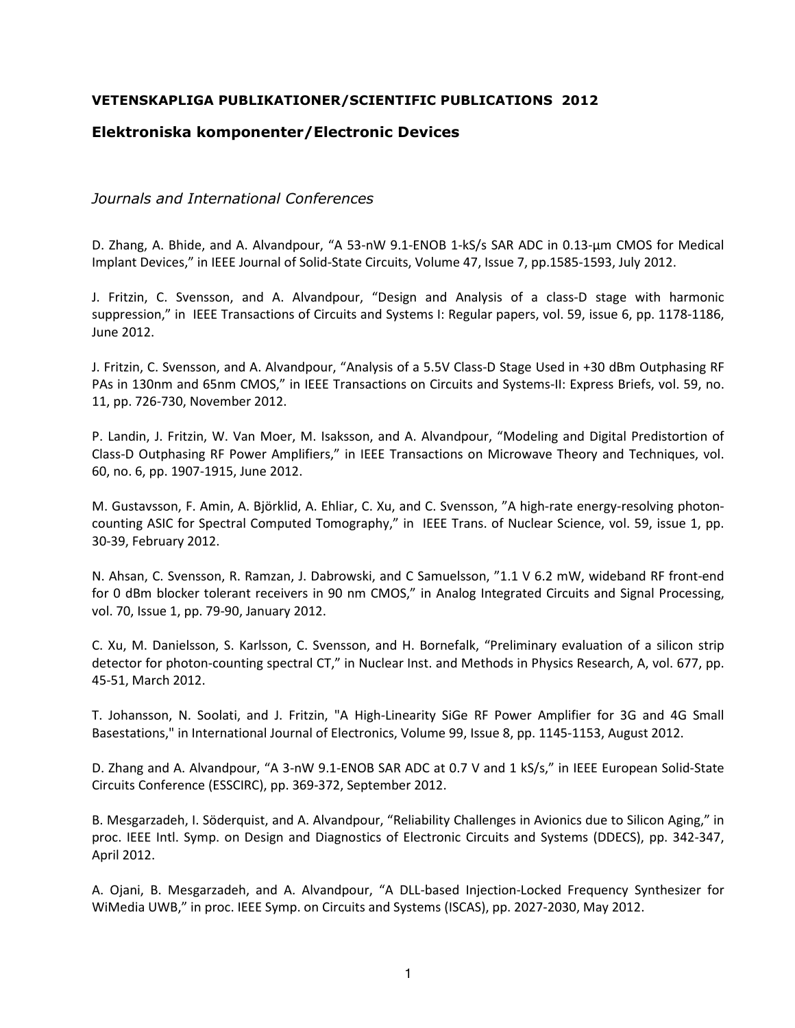## **VETENSKAPLIGA PUBLIKATIONER/SCIENTIFIC PUBLICATIONS 2012**

## **Elektroniska komponenter/Electronic Devices**

*Journals and International Conferences* 

D. Zhang, A. Bhide, and A. Alvandpour, "A 53-nW 9.1-ENOB 1-kS/s SAR ADC in 0.13-µm CMOS for Medical Implant Devices," in IEEE Journal of Solid-State Circuits, Volume 47, Issue 7, pp.1585-1593, July 2012.

J. Fritzin, C. Svensson, and A. Alvandpour, "Design and Analysis of a class-D stage with harmonic suppression," in IEEE Transactions of Circuits and Systems I: Regular papers, vol. 59, issue 6, pp. 1178-1186, June 2012.

J. Fritzin, C. Svensson, and A. Alvandpour, "Analysis of a 5.5V Class-D Stage Used in +30 dBm Outphasing RF PAs in 130nm and 65nm CMOS," in IEEE Transactions on Circuits and Systems-II: Express Briefs, vol. 59, no. 11, pp. 726-730, November 2012.

P. Landin, J. Fritzin, W. Van Moer, M. Isaksson, and A. Alvandpour, "Modeling and Digital Predistortion of Class-D Outphasing RF Power Amplifiers," in IEEE Transactions on Microwave Theory and Techniques, vol. 60, no. 6, pp. 1907-1915, June 2012.

M. Gustavsson, F. Amin, A. Björklid, A. Ehliar, C. Xu, and C. Svensson, "A high-rate energy-resolving photoncounting ASIC for Spectral Computed Tomography," in IEEE Trans. of Nuclear Science, vol. 59, issue 1, pp. 30-39, February 2012.

N. Ahsan, C. Svensson, R. Ramzan, J. Dabrowski, and C Samuelsson, "1.1 V 6.2 mW, wideband RF front-end for 0 dBm blocker tolerant receivers in 90 nm CMOS," in Analog Integrated Circuits and Signal Processing, vol. 70, Issue 1, pp. 79-90, January 2012.

C. Xu, M. Danielsson, S. Karlsson, C. Svensson, and H. Bornefalk, "Preliminary evaluation of a silicon strip detector for photon-counting spectral CT," in Nuclear Inst. and Methods in Physics Research, A, vol. 677, pp. 45-51, March 2012.

T. Johansson, N. Soolati, and J. Fritzin, "A High-Linearity SiGe RF Power Amplifier for 3G and 4G Small Basestations," in International Journal of Electronics, Volume 99, Issue 8, pp. 1145-1153, August 2012.

D. Zhang and A. Alvandpour, "A 3-nW 9.1-ENOB SAR ADC at 0.7 V and 1 kS/s," in IEEE European Solid-State Circuits Conference (ESSCIRC), pp. 369-372, September 2012.

B. Mesgarzadeh, I. Söderquist, and A. Alvandpour, "Reliability Challenges in Avionics due to Silicon Aging," in proc. IEEE Intl. Symp. on Design and Diagnostics of Electronic Circuits and Systems (DDECS), pp. 342-347, April 2012.

A. Ojani, B. Mesgarzadeh, and A. Alvandpour, "A DLL-based Injection-Locked Frequency Synthesizer for WiMedia UWB," in proc. IEEE Symp. on Circuits and Systems (ISCAS), pp. 2027-2030, May 2012.